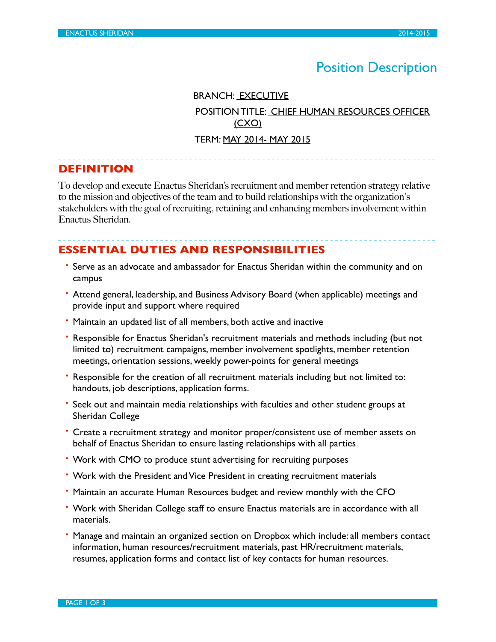# Position Description

BRANCH: EXECUTIVE

 POSITION TITLE: CHIEF HUMAN RESOURCES OFFICER (CXO)

#### TERM: MAY 2014- MAY 2015

## **DEFINITION**

To develop and execute Enactus Sheridan's recruitment and member retention strategy relative to the mission and objectives of the team and to build relationships with the organization's stakeholders with the goal of recruiting, retaining and enhancing members involvement within Enactus Sheridan.

## **ESSENTIAL DUTIES AND RESPONSIBILITIES**

- Serve as an advocate and ambassador for Enactus Sheridan within the community and on campus
- Attend general, leadership, and Business Advisory Board (when applicable) meetings and provide input and support where required
- Maintain an updated list of all members, both active and inactive
- Responsible for Enactus Sheridan's recruitment materials and methods including (but not limited to) recruitment campaigns, member involvement spotlights, member retention meetings, orientation sessions, weekly power-points for general meetings
- Responsible for the creation of all recruitment materials including but not limited to: handouts, job descriptions, application forms.
- Seek out and maintain media relationships with faculties and other student groups at Sheridan College
- Create a recruitment strategy and monitor proper/consistent use of member assets on behalf of Enactus Sheridan to ensure lasting relationships with all parties
- Work with CMO to produce stunt advertising for recruiting purposes
- Work with the President and Vice President in creating recruitment materials
- Maintain an accurate Human Resources budget and review monthly with the CFO
- Work with Sheridan College staff to ensure Enactus materials are in accordance with all materials.
- Manage and maintain an organized section on Dropbox which include: all members contact information, human resources/recruitment materials, past HR/recruitment materials, resumes, application forms and contact list of key contacts for human resources.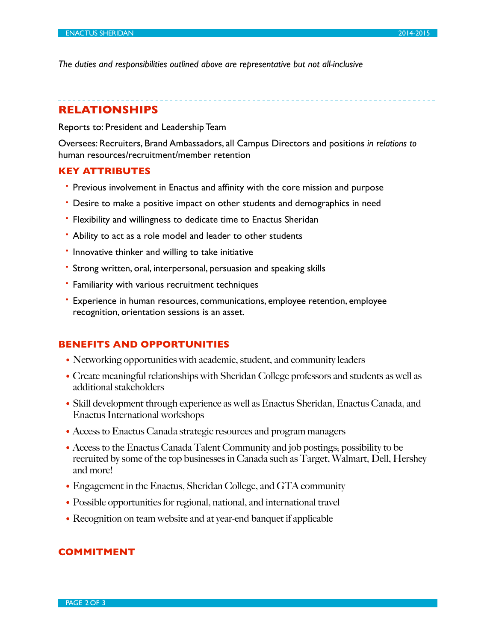*The duties and responsibilities outlined above are representative but not all-inclusive*

## **RELATIONSHIPS**

Reports to: President and Leadership Team

Oversees: Recruiters, Brand Ambassadors, all Campus Directors and positions *in relations to* human resources/recruitment/member retention

#### **KEY ATTRIBUTES**

- Previous involvement in Enactus and affinity with the core mission and purpose
- Desire to make a positive impact on other students and demographics in need
- Flexibility and willingness to dedicate time to Enactus Sheridan
- Ability to act as a role model and leader to other students
- Innovative thinker and willing to take initiative
- Strong written, oral, interpersonal, persuasion and speaking skills
- Familiarity with various recruitment techniques
- Experience in human resources, communications, employee retention, employee recognition, orientation sessions is an asset.

### **BENEFITS AND OPPORTUNITIES**

- Networking opportunities with academic, student, and community leaders
- Create meaningful relationships with Sheridan College professors and students as well as additional stakeholders
- Skill development through experience as well as Enactus Sheridan, Enactus Canada, and Enactus International workshops
- Access to Enactus Canada strategic resources and program managers
- Access to the Enactus Canada Talent Community and job postings; possibility to be recruited by some of the top businesses in Canada such as Target, Walmart, Dell, Hershey and more!
- Engagement in the Enactus, Sheridan College, and GTA community
- Possible opportunities for regional, national, and international travel
- Recognition on team website and at year-end banquet if applicable

#### **COMMITMENT**